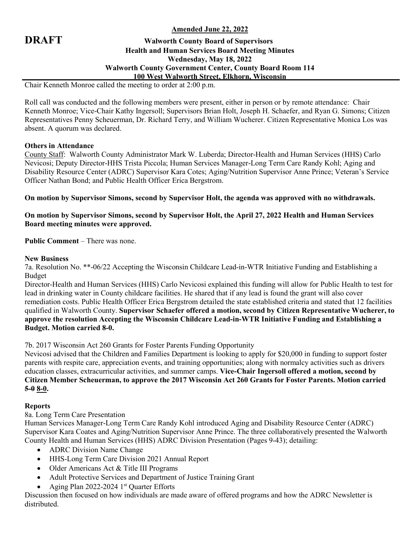# **Amended June 22, 2022**

# **DRAFT Walworth County Board of Supervisors Health and Human Services Board Meeting Minutes Wednesday, May 18, 2022 Walworth County Government Center, County Board Room 114 100 West Walworth Street, Elkhorn, Wisconsin**

Chair Kenneth Monroe called the meeting to order at 2:00 p.m.

Roll call was conducted and the following members were present, either in person or by remote attendance: Chair Kenneth Monroe; Vice-Chair Kathy Ingersoll; Supervisors Brian Holt, Joseph H. Schaefer, and Ryan G. Simons; Citizen Representatives Penny Scheuerman, Dr. Richard Terry, and William Wucherer. Citizen Representative Monica Los was absent. A quorum was declared.

### **Others in Attendance**

County Staff: Walworth County Administrator Mark W. Luberda; Director-Health and Human Services (HHS) Carlo Nevicosi; Deputy Director-HHS Trista Piccola; Human Services Manager-Long Term Care Randy Kohl; Aging and Disability Resource Center (ADRC) Supervisor Kara Cotes; Aging/Nutrition Supervisor Anne Prince; Veteran's Service Officer Nathan Bond; and Public Health Officer Erica Bergstrom.

**On motion by Supervisor Simons, second by Supervisor Holt, the agenda was approved with no withdrawals.**

**On motion by Supervisor Simons, second by Supervisor Holt, the April 27, 2022 Health and Human Services Board meeting minutes were approved.**

**Public Comment** – There was none.

### **New Business**

7a. Resolution No. \*\*-06/22 Accepting the Wisconsin Childcare Lead-in-WTR Initiative Funding and Establishing a Budget

Director-Health and Human Services (HHS) Carlo Nevicosi explained this funding will allow for Public Health to test for lead in drinking water in County childcare facilities. He shared that if any lead is found the grant will also cover remediation costs. Public Health Officer Erica Bergstrom detailed the state established criteria and stated that 12 facilities qualified in Walworth County. **Supervisor Schaefer offered a motion, second by Citizen Representative Wucherer, to approve the resolution Accepting the Wisconsin Childcare Lead-in-WTR Initiative Funding and Establishing a Budget. Motion carried 8-0.**

7b. 2017 Wisconsin Act 260 Grants for Foster Parents Funding Opportunity

Nevicosi advised that the Children and Families Department is looking to apply for \$20,000 in funding to support foster parents with respite care, appreciation events, and training opportunities; along with normalcy activities such as drivers education classes, extracurricular activities, and summer camps. **Vice-Chair Ingersoll offered a motion, second by Citizen Member Scheuerman, to approve the 2017 Wisconsin Act 260 Grants for Foster Parents. Motion carried 5-0 8-0.**

# **Reports**

8a. Long Term Care Presentation

Human Services Manager-Long Term Care Randy Kohl introduced Aging and Disability Resource Center (ADRC) Supervisor Kara Coates and Aging/Nutrition Supervisor Anne Prince. The three collaboratively presented the Walworth County Health and Human Services (HHS) ADRC Division Presentation (Pages 9-43); detailing:

- ADRC Division Name Change
- HHS-Long Term Care Division 2021 Annual Report
- Older Americans Act & Title III Programs
- Adult Protective Services and Department of Justice Training Grant
- Aging Plan 2022-2024 1<sup>st</sup> Quarter Efforts

Discussion then focused on how individuals are made aware of offered programs and how the ADRC Newsletter is distributed.